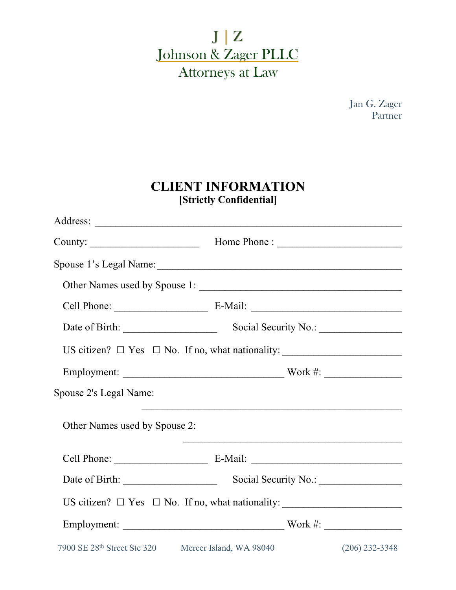$J | Z$ Johnson & Zager PLLC Attorneys at Law

> Jan G. Zager Partner

### **CLIENT INFORMATION [Strictly Confidential]**

| Employment: Work #:           |                                                                                                                      |                  |  |  |  |
|-------------------------------|----------------------------------------------------------------------------------------------------------------------|------------------|--|--|--|
| Spouse 2's Legal Name:        |                                                                                                                      |                  |  |  |  |
| Other Names used by Spouse 2: | <u> 1990 - Johann John Stoff, amerikan besteckte som besteckte som av den stadstadsformation og det som av den s</u> |                  |  |  |  |
|                               |                                                                                                                      |                  |  |  |  |
|                               |                                                                                                                      |                  |  |  |  |
|                               |                                                                                                                      |                  |  |  |  |
|                               | Employment: Work #:                                                                                                  |                  |  |  |  |
|                               | 7900 SE 28 <sup>th</sup> Street Ste 320 Mercer Island, WA 98040                                                      | $(206)$ 232-3348 |  |  |  |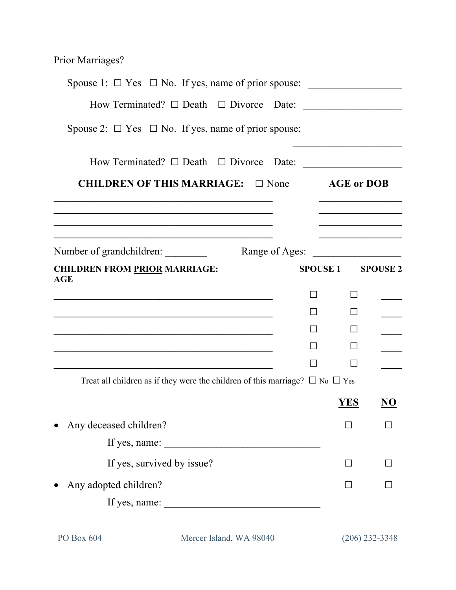Prior Marriages?

| Spouse 1: $\Box$ Yes $\Box$ No. If yes, name of prior spouse:                          |              |                                                    |
|----------------------------------------------------------------------------------------|--------------|----------------------------------------------------|
| How Terminated? $\Box$ Death $\Box$ Divorce Date:                                      |              |                                                    |
| Spouse 2: $\Box$ Yes $\Box$ No. If yes, name of prior spouse:                          |              |                                                    |
| How Terminated? $\Box$ Death $\Box$ Divorce Date: ___________________________________  |              |                                                    |
| <b>CHILDREN OF THIS MARRIAGE:</b> $\Box$ None $\Box$ AGE or DOB                        |              |                                                    |
| Number of grandchildren:                                                               |              | <u> 1950 - Johann Barbara, martin dina masa ka</u> |
| <b>CHILDREN FROM PRIOR MARRIAGE:</b>                                                   |              | SPOUSE 1 SPOUSE 2                                  |
| AGE                                                                                    |              |                                                    |
| $\mathsf{L}$<br>$\mathsf{L}$                                                           | $\perp$      |                                                    |
|                                                                                        |              |                                                    |
|                                                                                        |              |                                                    |
|                                                                                        |              |                                                    |
| Treat all children as if they were the children of this marriage? $\Box$ No $\Box$ Yes |              |                                                    |
|                                                                                        | <b>YES</b>   | NO                                                 |
| Any deceased children?                                                                 |              |                                                    |
| If yes, name:                                                                          |              |                                                    |
| If yes, survived by issue?                                                             | $\mathsf{L}$ |                                                    |
| Any adopted children?<br>$\bullet$                                                     |              |                                                    |
| If yes, name:                                                                          |              |                                                    |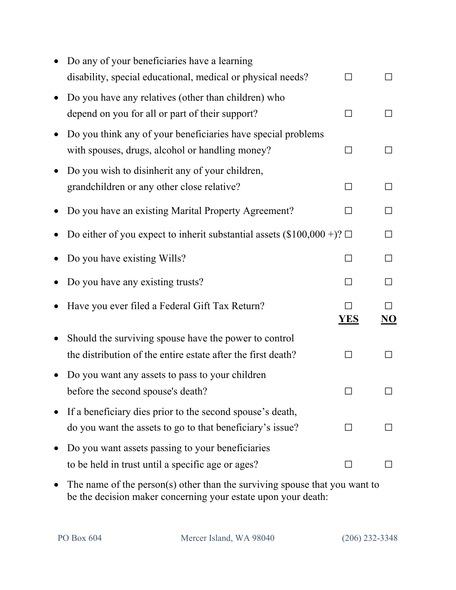| Do any of your beneficiaries have a learning                                   |              |        |
|--------------------------------------------------------------------------------|--------------|--------|
| disability, special educational, medical or physical needs?                    |              |        |
| Do you have any relatives (other than children) who                            |              |        |
| depend on you for all or part of their support?                                |              |        |
| Do you think any of your beneficiaries have special problems                   |              |        |
| with spouses, drugs, alcohol or handling money?                                | $\mathsf{L}$ |        |
| Do you wish to disinherit any of your children,                                |              |        |
| grandchildren or any other close relative?                                     | $\mathsf{L}$ | $\Box$ |
| Do you have an existing Marital Property Agreement?                            |              |        |
| Do either of you expect to inherit substantial assets $(\$100,000 +)? \square$ |              |        |
| Do you have existing Wills?                                                    |              | $\Box$ |
| Do you have any existing trusts?                                               |              |        |
| Have you ever filed a Federal Gift Tax Return?                                 | <b>YES</b>   | NO     |
| Should the surviving spouse have the power to control                          |              |        |
| the distribution of the entire estate after the first death?                   |              |        |
| Do you want any assets to pass to your children                                |              |        |
| before the second spouse's death?                                              |              |        |
| If a beneficiary dies prior to the second spouse's death,                      |              |        |
| do you want the assets to go to that beneficiary's issue?                      |              |        |
| Do you want assets passing to your beneficiaries                               |              |        |
| to be held in trust until a specific age or ages?                              |              |        |
|                                                                                |              |        |

• The name of the person(s) other than the surviving spouse that you want to be the decision maker concerning your estate upon your death: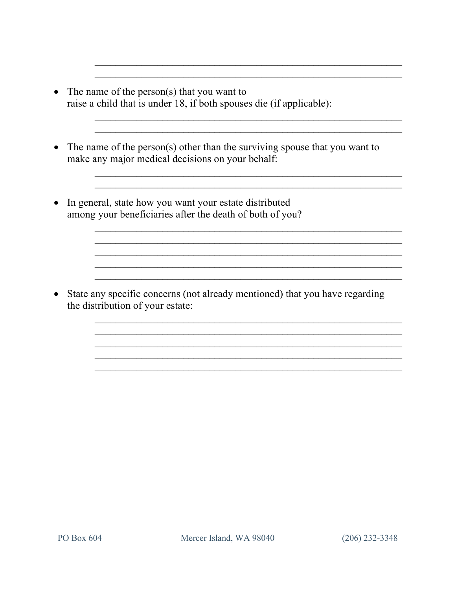- The name of the person(s) that you want to raise a child that is under 18, if both spouses die (if applicable):
- The name of the person(s) other than the surviving spouse that you want to make any major medical decisions on your behalf:
- In general, state how you want your estate distributed among your beneficiaries after the death of both of you?

• State any specific concerns (not already mentioned) that you have regarding the distribution of your estate: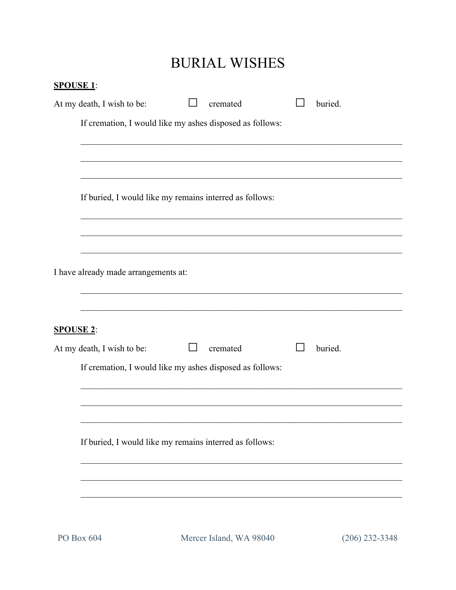# **BURIAL WISHES**

| <b>SPOUSE 1:</b> |                                                          |  |          |  |         |  |  |  |
|------------------|----------------------------------------------------------|--|----------|--|---------|--|--|--|
|                  | At my death, I wish to be:                               |  | cremated |  | buried. |  |  |  |
|                  | If cremation, I would like my ashes disposed as follows: |  |          |  |         |  |  |  |
|                  |                                                          |  |          |  |         |  |  |  |
|                  |                                                          |  |          |  |         |  |  |  |
|                  | If buried, I would like my remains interred as follows:  |  |          |  |         |  |  |  |
|                  |                                                          |  |          |  |         |  |  |  |
|                  | I have already made arrangements at:                     |  |          |  |         |  |  |  |
| <b>SPOUSE 2:</b> |                                                          |  |          |  |         |  |  |  |
|                  | At my death, I wish to be:                               |  | cremated |  | buried. |  |  |  |
|                  | If cremation, I would like my ashes disposed as follows: |  |          |  |         |  |  |  |
|                  |                                                          |  |          |  |         |  |  |  |
|                  |                                                          |  |          |  |         |  |  |  |
|                  |                                                          |  |          |  |         |  |  |  |
|                  |                                                          |  |          |  |         |  |  |  |
|                  |                                                          |  |          |  |         |  |  |  |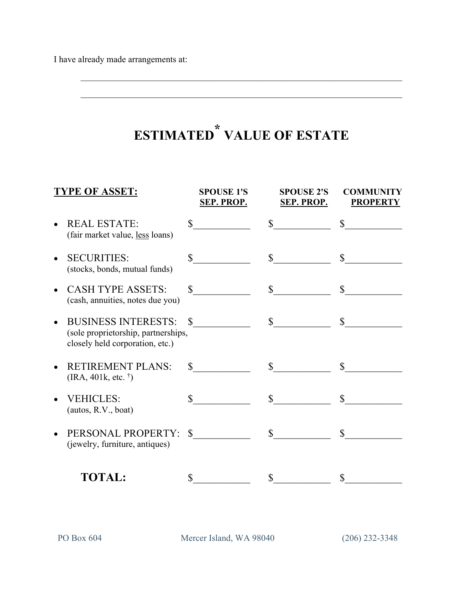#### **ESTIMATED \* VALUE OF ESTATE**

| <b>TYPE OF ASSET:</b>                                                                                |                | <b>SPOUSE 1'S</b><br><b>SEP. PROP.</b> | <b>SPOUSE 2'S</b><br><b>SEP. PROP.</b> | <b>COMMUNITY</b><br><b>PROPERTY</b> |
|------------------------------------------------------------------------------------------------------|----------------|----------------------------------------|----------------------------------------|-------------------------------------|
| <b>REAL ESTATE:</b><br>(fair market value, less loans)                                               |                | $\mathbb{S}$                           | $\mathbb{S}$                           | $\mathbb{S}$                        |
| <b>SECURITIES:</b><br>(stocks, bonds, mutual funds)                                                  | \$             |                                        | $\mathbb{S}$                           | $\mathbb{S}$                        |
| <b>CASH TYPE ASSETS:</b><br>(cash, annuities, notes due you)                                         | \$             |                                        | $\mathbb{S}$                           | $\mathbb{S}$                        |
| <b>BUSINESS INTERESTS:</b><br>(sole proprietorship, partnerships,<br>closely held corporation, etc.) | $\mathbb{S}^-$ |                                        | $\mathbb{S}$                           | $\mathbb{S}$                        |
| <b>RETIREMENT PLANS:</b><br>$(IRA, 401k, etc.$ <sup>†</sup> )                                        | $\mathbb{S}^-$ |                                        | $\mathcal{S}$                          | $\mathbb{S}^-$                      |
| <b>VEHICLES:</b><br>(autos, R.V., boat)                                                              | $\mathcal{S}$  |                                        | $\mathbb{S}$                           | $\mathbb{S}^-$                      |
| PERSONAL PROPERTY:<br>(jewelry, furniture, antiques)                                                 | $\mathbb{S}$   |                                        | $\mathbf S$                            | \$                                  |
| <b>TOTAL:</b>                                                                                        | \$             |                                        | \$                                     | \$                                  |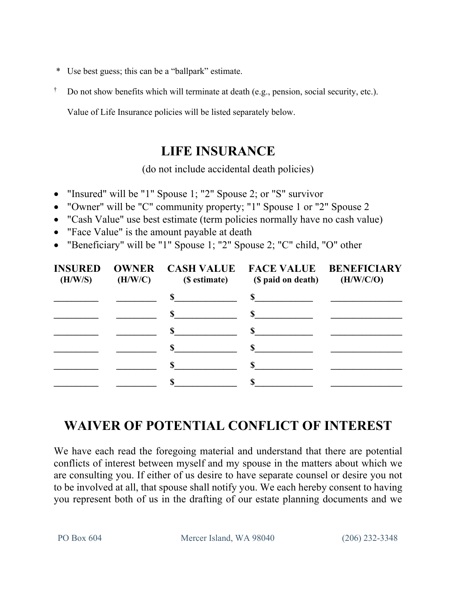- \* Use best guess; this can be a "ballpark" estimate.
- $\dagger$  Do not show benefits which will terminate at death (e.g., pension, social security, etc.).

Value of Life Insurance policies will be listed separately below.

### **LIFE INSURANCE**

(do not include accidental death policies)

- "Insured" will be "1" Spouse 1; "2" Spouse 2; or "S" survivor
- "Owner" will be "C" community property; "1" Spouse 1 or "2" Spouse 2
- "Cash Value" use best estimate (term policies normally have no cash value)
- "Face Value" is the amount payable at death
- "Beneficiary" will be "1" Spouse 1; "2" Spouse 2; "C" child, "O" other

| (H/W/S) | (H/W/C) | (\$ estimate) | INSURED OWNER CASH VALUE FACE VALUE BENEFICIARY<br>(\$ paid on death) | (H/W/C/O) |  |
|---------|---------|---------------|-----------------------------------------------------------------------|-----------|--|
|         |         | $\sim$ $\sim$ |                                                                       |           |  |
|         |         | $\mathbf S$   | $\mathbf S$                                                           |           |  |
|         |         | $\mathbb{S}$  | $\mathbf S$                                                           |           |  |
|         |         | $\mathbb{S}$  | $\mathbb{S}$                                                          |           |  |
|         |         | $\mathbf S$   | $\mathbb{S}$                                                          |           |  |
|         |         |               |                                                                       |           |  |

## **WAIVER OF POTENTIAL CONFLICT OF INTEREST**

We have each read the foregoing material and understand that there are potential conflicts of interest between myself and my spouse in the matters about which we are consulting you. If either of us desire to have separate counsel or desire you not to be involved at all, that spouse shall notify you. We each hereby consent to having you represent both of us in the drafting of our estate planning documents and we